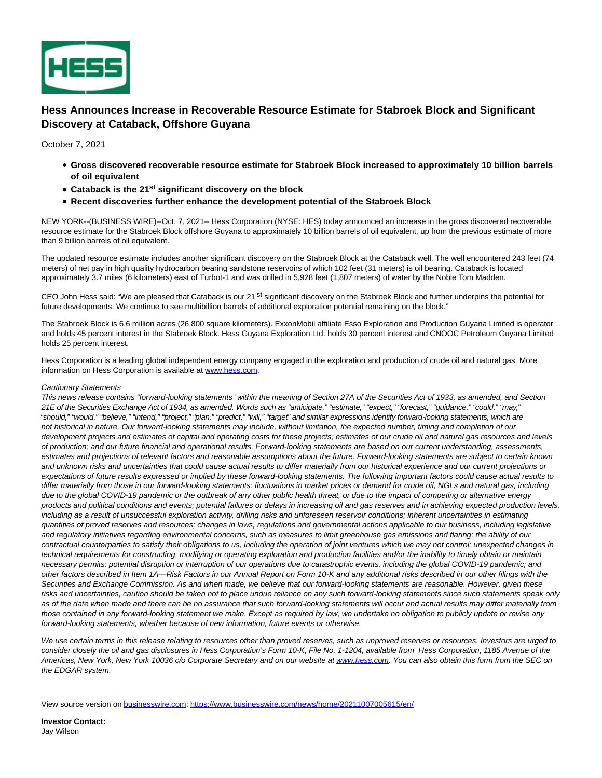

## **Hess Announces Increase in Recoverable Resource Estimate for Stabroek Block and Significant Discovery at Cataback, Offshore Guyana**

October 7, 2021

- **Gross discovered recoverable resource estimate for Stabroek Block increased to approximately 10 billion barrels of oil equivalent**
- **Cataback is the 21st significant discovery on the block**
- **Recent discoveries further enhance the development potential of the Stabroek Block**

NEW YORK--(BUSINESS WIRE)--Oct. 7, 2021-- Hess Corporation (NYSE: HES) today announced an increase in the gross discovered recoverable resource estimate for the Stabroek Block offshore Guyana to approximately 10 billion barrels of oil equivalent, up from the previous estimate of more than 9 billion barrels of oil equivalent.

The updated resource estimate includes another significant discovery on the Stabroek Block at the Cataback well. The well encountered 243 feet (74 meters) of net pay in high quality hydrocarbon bearing sandstone reservoirs of which 102 feet (31 meters) is oil bearing. Cataback is located approximately 3.7 miles (6 kilometers) east of Turbot-1 and was drilled in 5,928 feet (1,807 meters) of water by the Noble Tom Madden.

CEO John Hess said: "We are pleased that Cataback is our 21 <sup>st</sup> significant discovery on the Stabroek Block and further underpins the potential for future developments. We continue to see multibillion barrels of additional exploration potential remaining on the block."

The Stabroek Block is 6.6 million acres (26,800 square kilometers). ExxonMobil affiliate Esso Exploration and Production Guyana Limited is operator and holds 45 percent interest in the Stabroek Block. Hess Guyana Exploration Ltd. holds 30 percent interest and CNOOC Petroleum Guyana Limited holds 25 percent interest.

Hess Corporation is a leading global independent energy company engaged in the exploration and production of crude oil and natural gas. More information on Hess Corporation is available at [www.hess.com.](https://cts.businesswire.com/ct/CT?id=smartlink&url=http%3A%2F%2Fwww.hess.com&esheet=52505141&newsitemid=20211007005615&lan=en-US&anchor=www.hess.com&index=1&md5=cfe2bb438e4764c8712c008a1b1fd882)

## Cautionary Statements

This news release contains "forward-looking statements" within the meaning of Section 27A of the Securities Act of 1933, as amended, and Section 21E of the Securities Exchange Act of 1934, as amended. Words such as "anticipate," "estimate," "expect," "forecast," "guidance," "could," "may," "should," "would," "believe," "intend," "project," "plan," "predict," "will," "target" and similar expressions identify forward-looking statements, which are not historical in nature. Our forward-looking statements may include, without limitation, the expected number, timing and completion of our development projects and estimates of capital and operating costs for these projects; estimates of our crude oil and natural gas resources and levels of production; and our future financial and operational results. Forward-looking statements are based on our current understanding, assessments, estimates and projections of relevant factors and reasonable assumptions about the future. Forward-looking statements are subject to certain known and unknown risks and uncertainties that could cause actual results to differ materially from our historical experience and our current projections or expectations of future results expressed or implied by these forward-looking statements. The following important factors could cause actual results to differ materially from those in our forward-looking statements: fluctuations in market prices or demand for crude oil, NGLs and natural gas, including due to the global COVID-19 pandemic or the outbreak of any other public health threat, or due to the impact of competing or alternative energy products and political conditions and events; potential failures or delays in increasing oil and gas reserves and in achieving expected production levels, including as a result of unsuccessful exploration activity, drilling risks and unforeseen reservoir conditions; inherent uncertainties in estimating quantities of proved reserves and resources; changes in laws, regulations and governmental actions applicable to our business, including legislative and regulatory initiatives regarding environmental concerns, such as measures to limit greenhouse gas emissions and flaring; the ability of our contractual counterparties to satisfy their obligations to us, including the operation of joint ventures which we may not control; unexpected changes in technical requirements for constructing, modifying or operating exploration and production facilities and/or the inability to timely obtain or maintain necessary permits; potential disruption or interruption of our operations due to catastrophic events, including the global COVID-19 pandemic; and other factors described in Item 1A—Risk Factors in our Annual Report on Form 10-K and any additional risks described in our other filings with the Securities and Exchange Commission. As and when made, we believe that our forward-looking statements are reasonable. However, given these risks and uncertainties, caution should be taken not to place undue reliance on any such forward-looking statements since such statements speak only as of the date when made and there can be no assurance that such forward-looking statements will occur and actual results may differ materially from those contained in any forward-looking statement we make. Except as required by law, we undertake no obligation to publicly update or revise any forward-looking statements, whether because of new information, future events or otherwise.

We use certain terms in this release relating to resources other than proved reserves, such as unproved reserves or resources. Investors are urged to consider closely the oil and gas disclosures in Hess Corporation's Form 10-K, File No. 1-1204, available from Hess Corporation, 1185 Avenue of the Americas, New York, New York 10036 c/o Corporate Secretary and on our website a[t www.hess.com.](https://cts.businesswire.com/ct/CT?id=smartlink&url=http%3A%2F%2Fwww.hess.com&esheet=52505141&newsitemid=20211007005615&lan=en-US&anchor=www.hess.com&index=2&md5=1e47a5eef7110038885bee5f31212892) You can also obtain this form from the SEC on the EDGAR system.

View source version on [businesswire.com:](http://businesswire.com/)<https://www.businesswire.com/news/home/20211007005615/en/>

**Investor Contact:** Jay Wilson